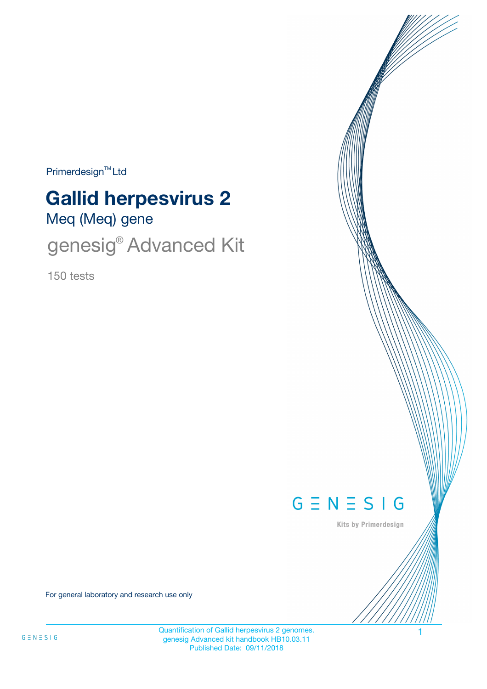Primerdesign<sup>™</sup>Ltd

# **Gallid herpesvirus 2**

Meq (Meq) gene

genesig® Advanced Kit

150 tests



Kits by Primerdesign

For general laboratory and research use only

Quantification of Gallid herpesvirus 2 genomes. 1 genesig Advanced kit handbook HB10.03.11 Published Date: 09/11/2018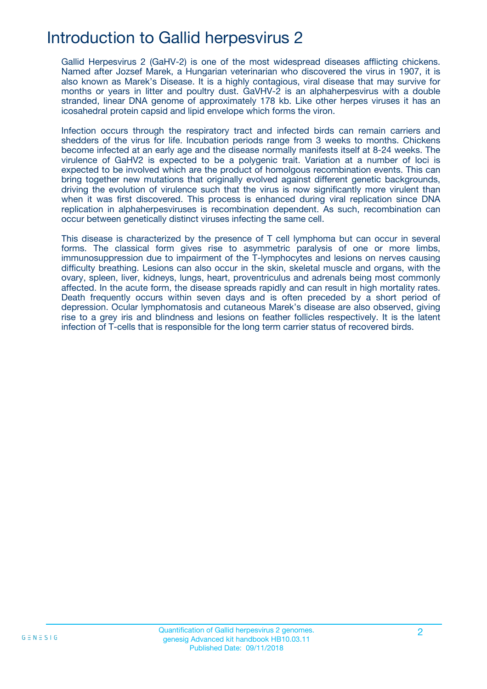### Introduction to Gallid herpesvirus 2

Gallid Herpesvirus 2 (GaHV-2) is one of the most widespread diseases afflicting chickens. Named after Jozsef Marek, a Hungarian veterinarian who discovered the virus in 1907, it is also known as Marek's Disease. It is a highly contagious, viral disease that may survive for months or years in litter and poultry dust. GaVHV-2 is an alphaherpesvirus with a double stranded, linear DNA genome of approximately 178 kb. Like other herpes viruses it has an icosahedral protein capsid and lipid envelope which forms the viron.

Infection occurs through the respiratory tract and infected birds can remain carriers and shedders of the virus for life. Incubation periods range from 3 weeks to months. Chickens become infected at an early age and the disease normally manifests itself at 8-24 weeks. The virulence of GaHV2 is expected to be a polygenic trait. Variation at a number of loci is expected to be involved which are the product of homolgous recombination events. This can bring together new mutations that originally evolved against different genetic backgrounds, driving the evolution of virulence such that the virus is now significantly more virulent than when it was first discovered. This process is enhanced during viral replication since DNA replication in alphaherpesviruses is recombination dependent. As such, recombination can occur between genetically distinct viruses infecting the same cell.

This disease is characterized by the presence of T cell lymphoma but can occur in several forms. The classical form gives rise to asymmetric paralysis of one or more limbs, immunosuppression due to impairment of the T-lymphocytes and lesions on nerves causing difficulty breathing. Lesions can also occur in the skin, skeletal muscle and organs, with the ovary, spleen, liver, kidneys, lungs, heart, proventriculus and adrenals being most commonly affected. In the acute form, the disease spreads rapidly and can result in high mortality rates. Death frequently occurs within seven days and is often preceded by a short period of depression. Ocular lymphomatosis and cutaneous Marek's disease are also observed, giving rise to a grey iris and blindness and lesions on feather follicles respectively. It is the latent infection of T-cells that is responsible for the long term carrier status of recovered birds.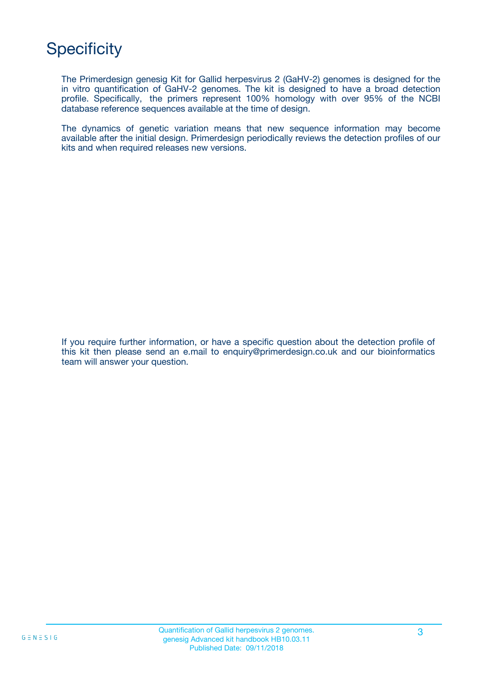# **Specificity**

The Primerdesign genesig Kit for Gallid herpesvirus 2 (GaHV-2) genomes is designed for the in vitro quantification of GaHV-2 genomes. The kit is designed to have a broad detection profile. Specifically, the primers represent 100% homology with over 95% of the NCBI database reference sequences available at the time of design.

The dynamics of genetic variation means that new sequence information may become available after the initial design. Primerdesign periodically reviews the detection profiles of our kits and when required releases new versions.

If you require further information, or have a specific question about the detection profile of this kit then please send an e.mail to enquiry@primerdesign.co.uk and our bioinformatics team will answer your question.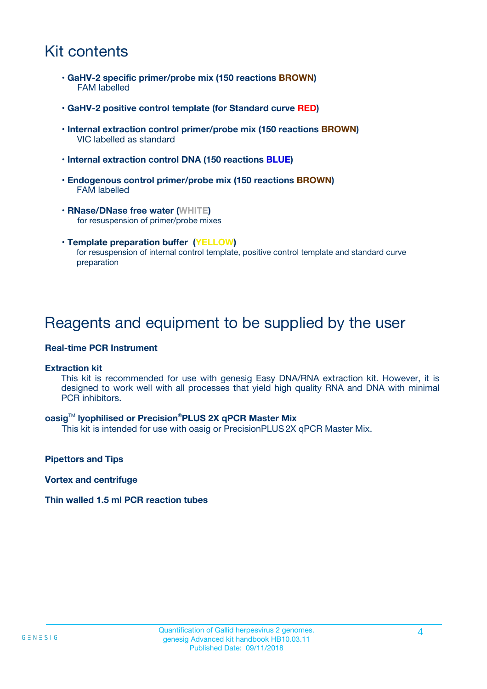### Kit contents

- **GaHV-2 specific primer/probe mix (150 reactions BROWN)** FAM labelled
- **GaHV-2 positive control template (for Standard curve RED)**
- **Internal extraction control primer/probe mix (150 reactions BROWN)** VIC labelled as standard
- **Internal extraction control DNA (150 reactions BLUE)**
- **Endogenous control primer/probe mix (150 reactions BROWN)** FAM labelled
- **RNase/DNase free water (WHITE)** for resuspension of primer/probe mixes
- **Template preparation buffer (YELLOW)** for resuspension of internal control template, positive control template and standard curve preparation

### Reagents and equipment to be supplied by the user

#### **Real-time PCR Instrument**

#### **Extraction kit**

This kit is recommended for use with genesig Easy DNA/RNA extraction kit. However, it is designed to work well with all processes that yield high quality RNA and DNA with minimal PCR inhibitors.

#### **oasig**TM **lyophilised or Precision**®**PLUS 2X qPCR Master Mix**

This kit is intended for use with oasig or PrecisionPLUS2X qPCR Master Mix.

**Pipettors and Tips**

**Vortex and centrifuge**

#### **Thin walled 1.5 ml PCR reaction tubes**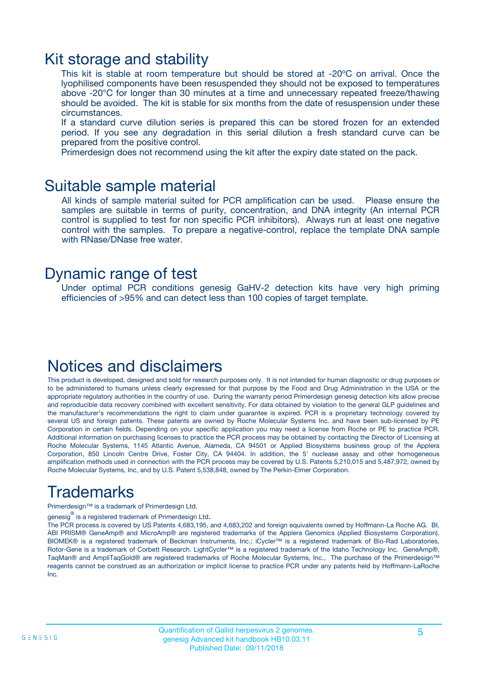### Kit storage and stability

This kit is stable at room temperature but should be stored at -20ºC on arrival. Once the lyophilised components have been resuspended they should not be exposed to temperatures above -20°C for longer than 30 minutes at a time and unnecessary repeated freeze/thawing should be avoided. The kit is stable for six months from the date of resuspension under these circumstances.

If a standard curve dilution series is prepared this can be stored frozen for an extended period. If you see any degradation in this serial dilution a fresh standard curve can be prepared from the positive control.

Primerdesign does not recommend using the kit after the expiry date stated on the pack.

### Suitable sample material

All kinds of sample material suited for PCR amplification can be used. Please ensure the samples are suitable in terms of purity, concentration, and DNA integrity (An internal PCR control is supplied to test for non specific PCR inhibitors). Always run at least one negative control with the samples. To prepare a negative-control, replace the template DNA sample with RNase/DNase free water.

### Dynamic range of test

Under optimal PCR conditions genesig GaHV-2 detection kits have very high priming efficiencies of >95% and can detect less than 100 copies of target template.

### Notices and disclaimers

This product is developed, designed and sold for research purposes only. It is not intended for human diagnostic or drug purposes or to be administered to humans unless clearly expressed for that purpose by the Food and Drug Administration in the USA or the appropriate regulatory authorities in the country of use. During the warranty period Primerdesign genesig detection kits allow precise and reproducible data recovery combined with excellent sensitivity. For data obtained by violation to the general GLP guidelines and the manufacturer's recommendations the right to claim under guarantee is expired. PCR is a proprietary technology covered by several US and foreign patents. These patents are owned by Roche Molecular Systems Inc. and have been sub-licensed by PE Corporation in certain fields. Depending on your specific application you may need a license from Roche or PE to practice PCR. Additional information on purchasing licenses to practice the PCR process may be obtained by contacting the Director of Licensing at Roche Molecular Systems, 1145 Atlantic Avenue, Alameda, CA 94501 or Applied Biosystems business group of the Applera Corporation, 850 Lincoln Centre Drive, Foster City, CA 94404. In addition, the 5' nuclease assay and other homogeneous amplification methods used in connection with the PCR process may be covered by U.S. Patents 5,210,015 and 5,487,972, owned by Roche Molecular Systems, Inc, and by U.S. Patent 5,538,848, owned by The Perkin-Elmer Corporation.

# Trademarks

Primerdesign™ is a trademark of Primerdesign Ltd.

genesig $^\circledR$  is a registered trademark of Primerdesign Ltd.

The PCR process is covered by US Patents 4,683,195, and 4,683,202 and foreign equivalents owned by Hoffmann-La Roche AG. BI, ABI PRISM® GeneAmp® and MicroAmp® are registered trademarks of the Applera Genomics (Applied Biosystems Corporation). BIOMEK® is a registered trademark of Beckman Instruments, Inc.; iCycler™ is a registered trademark of Bio-Rad Laboratories, Rotor-Gene is a trademark of Corbett Research. LightCycler™ is a registered trademark of the Idaho Technology Inc. GeneAmp®, TaqMan® and AmpliTaqGold® are registered trademarks of Roche Molecular Systems, Inc., The purchase of the Primerdesign™ reagents cannot be construed as an authorization or implicit license to practice PCR under any patents held by Hoffmann-LaRoche Inc.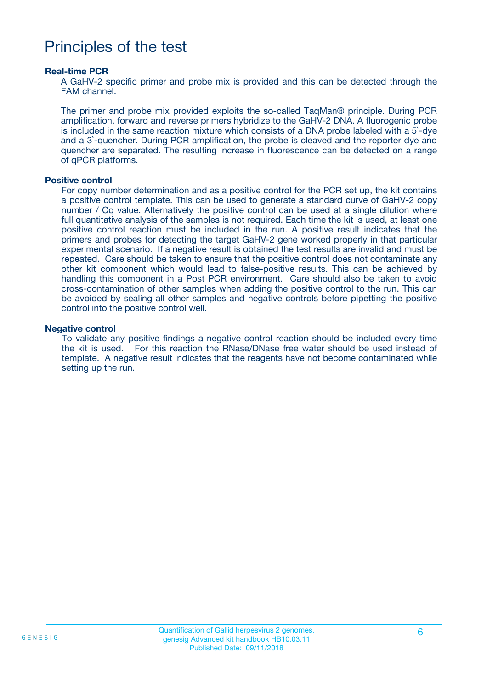### Principles of the test

#### **Real-time PCR**

A GaHV-2 specific primer and probe mix is provided and this can be detected through the FAM channel.

The primer and probe mix provided exploits the so-called TaqMan® principle. During PCR amplification, forward and reverse primers hybridize to the GaHV-2 DNA. A fluorogenic probe is included in the same reaction mixture which consists of a DNA probe labeled with a 5`-dye and a 3`-quencher. During PCR amplification, the probe is cleaved and the reporter dye and quencher are separated. The resulting increase in fluorescence can be detected on a range of qPCR platforms.

#### **Positive control**

For copy number determination and as a positive control for the PCR set up, the kit contains a positive control template. This can be used to generate a standard curve of GaHV-2 copy number / Cq value. Alternatively the positive control can be used at a single dilution where full quantitative analysis of the samples is not required. Each time the kit is used, at least one positive control reaction must be included in the run. A positive result indicates that the primers and probes for detecting the target GaHV-2 gene worked properly in that particular experimental scenario. If a negative result is obtained the test results are invalid and must be repeated. Care should be taken to ensure that the positive control does not contaminate any other kit component which would lead to false-positive results. This can be achieved by handling this component in a Post PCR environment. Care should also be taken to avoid cross-contamination of other samples when adding the positive control to the run. This can be avoided by sealing all other samples and negative controls before pipetting the positive control into the positive control well.

#### **Negative control**

To validate any positive findings a negative control reaction should be included every time the kit is used. For this reaction the RNase/DNase free water should be used instead of template. A negative result indicates that the reagents have not become contaminated while setting up the run.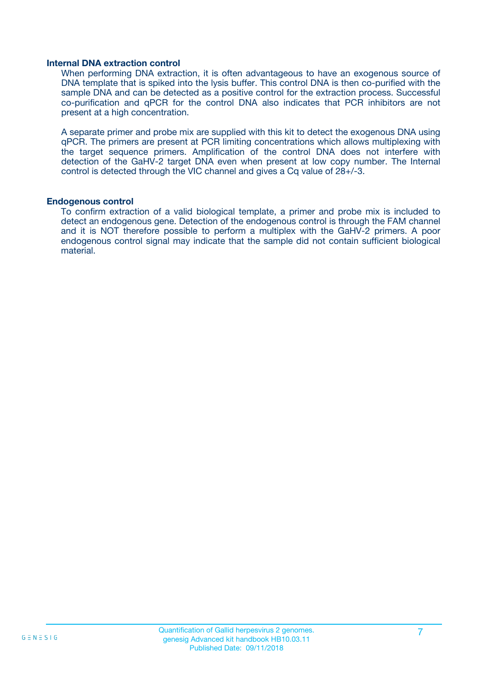#### **Internal DNA extraction control**

When performing DNA extraction, it is often advantageous to have an exogenous source of DNA template that is spiked into the lysis buffer. This control DNA is then co-purified with the sample DNA and can be detected as a positive control for the extraction process. Successful co-purification and qPCR for the control DNA also indicates that PCR inhibitors are not present at a high concentration.

A separate primer and probe mix are supplied with this kit to detect the exogenous DNA using qPCR. The primers are present at PCR limiting concentrations which allows multiplexing with the target sequence primers. Amplification of the control DNA does not interfere with detection of the GaHV-2 target DNA even when present at low copy number. The Internal control is detected through the VIC channel and gives a Cq value of 28+/-3.

#### **Endogenous control**

To confirm extraction of a valid biological template, a primer and probe mix is included to detect an endogenous gene. Detection of the endogenous control is through the FAM channel and it is NOT therefore possible to perform a multiplex with the GaHV-2 primers. A poor endogenous control signal may indicate that the sample did not contain sufficient biological material.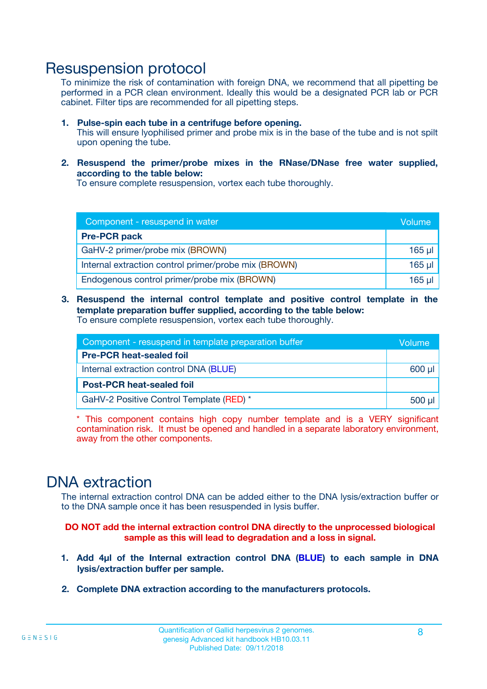### Resuspension protocol

To minimize the risk of contamination with foreign DNA, we recommend that all pipetting be performed in a PCR clean environment. Ideally this would be a designated PCR lab or PCR cabinet. Filter tips are recommended for all pipetting steps.

- **1. Pulse-spin each tube in a centrifuge before opening.** This will ensure lyophilised primer and probe mix is in the base of the tube and is not spilt upon opening the tube.
- **2. Resuspend the primer/probe mixes in the RNase/DNase free water supplied, according to the table below:**

To ensure complete resuspension, vortex each tube thoroughly.

| Component - resuspend in water                       |             |  |
|------------------------------------------------------|-------------|--|
| <b>Pre-PCR pack</b>                                  |             |  |
| GaHV-2 primer/probe mix (BROWN)                      | $165$ µl    |  |
| Internal extraction control primer/probe mix (BROWN) | $165$ $\mu$ |  |
| Endogenous control primer/probe mix (BROWN)          | 165 µl      |  |

**3. Resuspend the internal control template and positive control template in the template preparation buffer supplied, according to the table below:** To ensure complete resuspension, vortex each tube thoroughly.

| Component - resuspend in template preparation buffer |          |  |  |
|------------------------------------------------------|----------|--|--|
| <b>Pre-PCR heat-sealed foil</b>                      |          |  |  |
| Internal extraction control DNA (BLUE)               |          |  |  |
| <b>Post-PCR heat-sealed foil</b>                     |          |  |  |
| GaHV-2 Positive Control Template (RED) *             | $500$ µl |  |  |

\* This component contains high copy number template and is a VERY significant contamination risk. It must be opened and handled in a separate laboratory environment, away from the other components.

### DNA extraction

The internal extraction control DNA can be added either to the DNA lysis/extraction buffer or to the DNA sample once it has been resuspended in lysis buffer.

**DO NOT add the internal extraction control DNA directly to the unprocessed biological sample as this will lead to degradation and a loss in signal.**

- **1. Add 4µl of the Internal extraction control DNA (BLUE) to each sample in DNA lysis/extraction buffer per sample.**
- **2. Complete DNA extraction according to the manufacturers protocols.**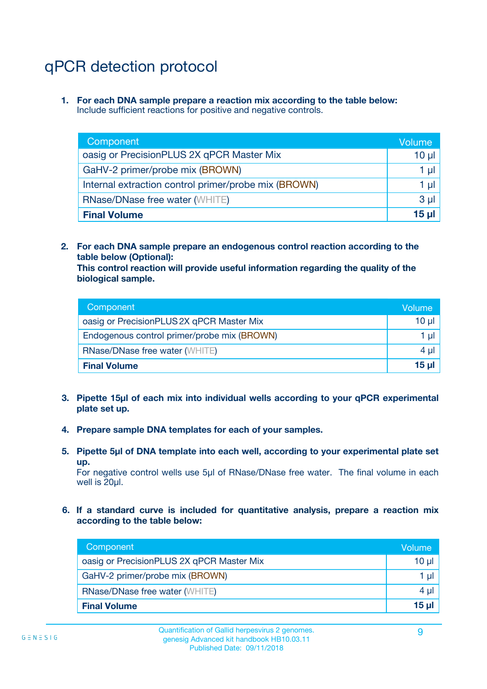# qPCR detection protocol

**1. For each DNA sample prepare a reaction mix according to the table below:** Include sufficient reactions for positive and negative controls.

| Component                                            | Volume   |
|------------------------------------------------------|----------|
| oasig or PrecisionPLUS 2X qPCR Master Mix            | $10 \mu$ |
| GaHV-2 primer/probe mix (BROWN)                      | 1 µI     |
| Internal extraction control primer/probe mix (BROWN) | 1 µl     |
| <b>RNase/DNase free water (WHITE)</b>                | $3 \mu$  |
| <b>Final Volume</b>                                  | 15 µl    |

**2. For each DNA sample prepare an endogenous control reaction according to the table below (Optional):**

**This control reaction will provide useful information regarding the quality of the biological sample.**

| Component                                   | Volume   |
|---------------------------------------------|----------|
| oasig or PrecisionPLUS 2X qPCR Master Mix   | $10 \mu$ |
| Endogenous control primer/probe mix (BROWN) | 1 µI     |
| <b>RNase/DNase free water (WHITE)</b>       | $4 \mu$  |
| <b>Final Volume</b>                         | 15 µl    |

- **3. Pipette 15µl of each mix into individual wells according to your qPCR experimental plate set up.**
- **4. Prepare sample DNA templates for each of your samples.**
- **5. Pipette 5µl of DNA template into each well, according to your experimental plate set up.**

For negative control wells use 5µl of RNase/DNase free water. The final volume in each well is 20ul.

**6. If a standard curve is included for quantitative analysis, prepare a reaction mix according to the table below:**

| Component                                 | Volume          |
|-------------------------------------------|-----------------|
| oasig or PrecisionPLUS 2X qPCR Master Mix | 10 $\mu$        |
| GaHV-2 primer/probe mix (BROWN)           | 1 µI            |
| <b>RNase/DNase free water (WHITE)</b>     | $4 \mu$         |
| <b>Final Volume</b>                       | 15 <sub>µ</sub> |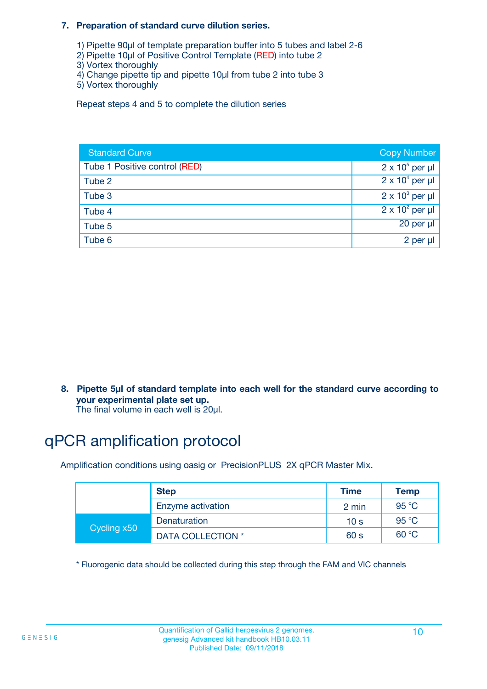#### **7. Preparation of standard curve dilution series.**

- 1) Pipette 90µl of template preparation buffer into 5 tubes and label 2-6
- 2) Pipette 10µl of Positive Control Template (RED) into tube 2
- 3) Vortex thoroughly
- 4) Change pipette tip and pipette 10µl from tube 2 into tube 3
- 5) Vortex thoroughly

Repeat steps 4 and 5 to complete the dilution series

| <b>Standard Curve</b>         | <b>Copy Number</b>     |
|-------------------------------|------------------------|
| Tube 1 Positive control (RED) | $2 \times 10^5$ per µl |
| Tube 2                        | $2 \times 10^4$ per µl |
| Tube 3                        | $2 \times 10^3$ per µl |
| Tube 4                        | $2 \times 10^2$ per µl |
| Tube 5                        | 20 per µl              |
| Tube 6                        | 2 per µl               |

**8. Pipette 5µl of standard template into each well for the standard curve according to your experimental plate set up.**

#### The final volume in each well is 20µl.

# qPCR amplification protocol

Amplification conditions using oasig or PrecisionPLUS 2X qPCR Master Mix.

|             | <b>Step</b>       | <b>Time</b>     | Temp    |
|-------------|-------------------|-----------------|---------|
|             | Enzyme activation | 2 min           | 95 °C   |
| Cycling x50 | Denaturation      | 10 <sub>s</sub> | 95 $°C$ |
|             | DATA COLLECTION * | 60 s            | 60 °C   |

\* Fluorogenic data should be collected during this step through the FAM and VIC channels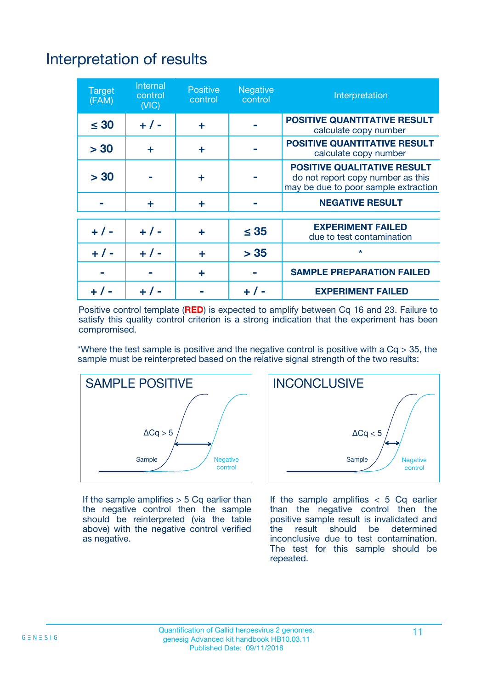# Interpretation of results

| <b>Target</b><br>(FAM) | <b>Internal</b><br>control<br>(NIC) | <b>Positive</b><br>control | <b>Negative</b><br>control | Interpretation                                                                                                  |
|------------------------|-------------------------------------|----------------------------|----------------------------|-----------------------------------------------------------------------------------------------------------------|
| $\leq 30$              | $+ 1 -$                             | ÷                          |                            | <b>POSITIVE QUANTITATIVE RESULT</b><br>calculate copy number                                                    |
| > 30                   | ٠                                   | ÷                          |                            | <b>POSITIVE QUANTITATIVE RESULT</b><br>calculate copy number                                                    |
| > 30                   |                                     | ÷                          |                            | <b>POSITIVE QUALITATIVE RESULT</b><br>do not report copy number as this<br>may be due to poor sample extraction |
|                        | ÷                                   | ÷                          |                            | <b>NEGATIVE RESULT</b>                                                                                          |
| $+ 1 -$                | $+ 1 -$                             | ÷                          | $\leq$ 35                  | <b>EXPERIMENT FAILED</b><br>due to test contamination                                                           |
| $+$ / -                | $+ 1 -$                             | ÷                          | > 35                       | $\star$                                                                                                         |
|                        |                                     | ÷                          |                            | <b>SAMPLE PREPARATION FAILED</b>                                                                                |
|                        |                                     |                            | $+$ /                      | <b>EXPERIMENT FAILED</b>                                                                                        |

Positive control template (**RED**) is expected to amplify between Cq 16 and 23. Failure to satisfy this quality control criterion is a strong indication that the experiment has been compromised.

\*Where the test sample is positive and the negative control is positive with a  $Ca > 35$ , the sample must be reinterpreted based on the relative signal strength of the two results:



If the sample amplifies  $> 5$  Cq earlier than the negative control then the sample should be reinterpreted (via the table above) with the negative control verified as negative.



If the sample amplifies  $< 5$  Cq earlier than the negative control then the positive sample result is invalidated and<br>the result should be determined  $the$  result should be inconclusive due to test contamination. The test for this sample should be repeated.